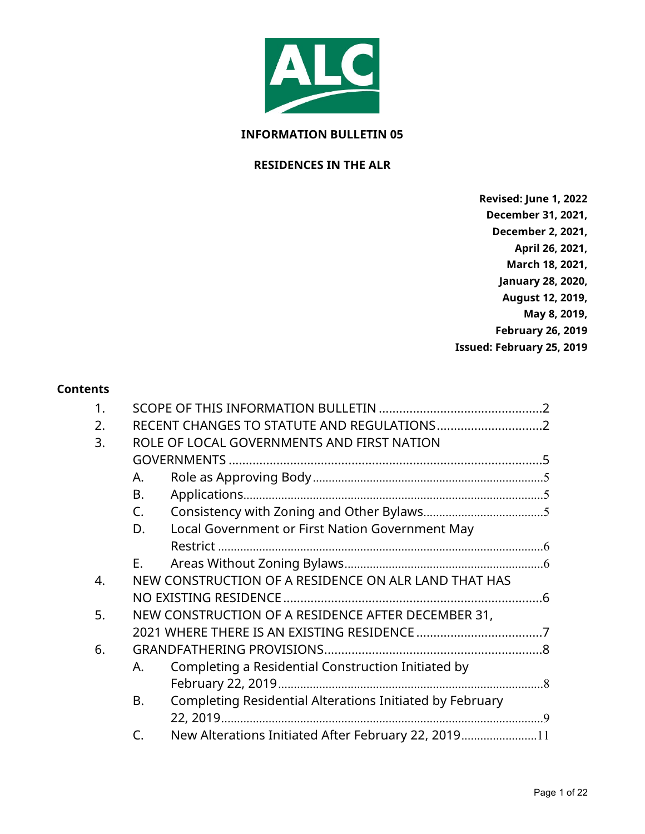

#### **INFORMATION BULLETIN 05**

#### **RESIDENCES IN THE ALR**

**Revised: June 1, 2022 December 31, 2021, December 2, 2021, April 26, 2021, March 18, 2021, January 28, 2020, August 12, 2019, May 8, 2019, February 26, 2019 Issued: February 25, 2019**

#### **Contents**

| 1. |                                            |                                                          |  |  |
|----|--------------------------------------------|----------------------------------------------------------|--|--|
| 2. |                                            |                                                          |  |  |
| 3. | ROLE OF LOCAL GOVERNMENTS AND FIRST NATION |                                                          |  |  |
|    |                                            |                                                          |  |  |
|    | А.                                         |                                                          |  |  |
|    | B.                                         |                                                          |  |  |
|    | C.                                         |                                                          |  |  |
|    | D.                                         | Local Government or First Nation Government May          |  |  |
|    |                                            |                                                          |  |  |
|    | Е.                                         |                                                          |  |  |
| 4. |                                            | NEW CONSTRUCTION OF A RESIDENCE ON ALR LAND THAT HAS     |  |  |
|    |                                            |                                                          |  |  |
| 5. |                                            | NEW CONSTRUCTION OF A RESIDENCE AFTER DECEMBER 31,       |  |  |
|    |                                            |                                                          |  |  |
| 6. |                                            |                                                          |  |  |
|    | А.                                         | Completing a Residential Construction Initiated by       |  |  |
|    |                                            |                                                          |  |  |
|    | B.                                         | Completing Residential Alterations Initiated by February |  |  |
|    |                                            |                                                          |  |  |
|    | $\subset$                                  | New Alterations Initiated After February 22, 201911      |  |  |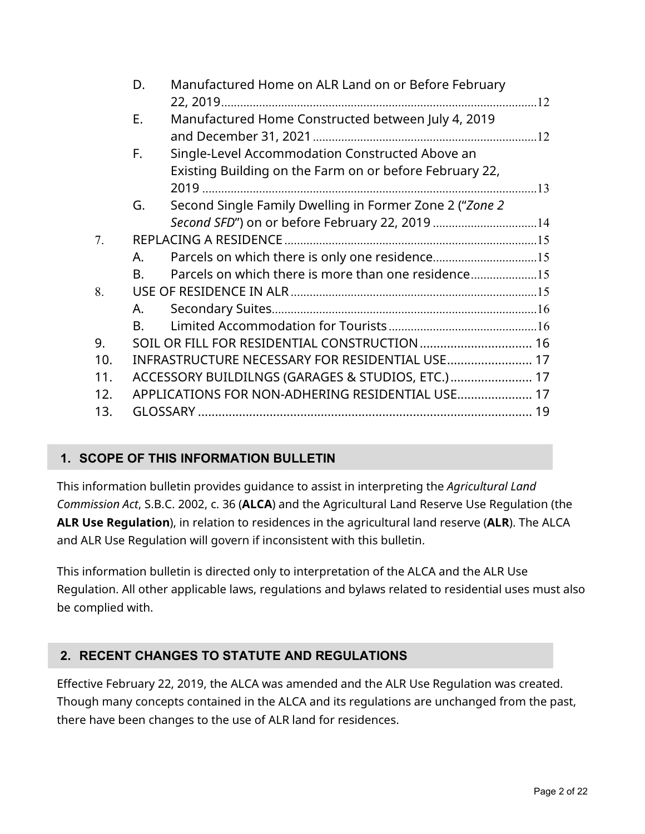|                 | D.                                                | Manufactured Home on ALR Land on or Before February     |  |
|-----------------|---------------------------------------------------|---------------------------------------------------------|--|
|                 | Ε.                                                | Manufactured Home Constructed between July 4, 2019      |  |
|                 | F.                                                | Single-Level Accommodation Constructed Above an         |  |
|                 |                                                   | Existing Building on the Farm on or before February 22, |  |
|                 | G.                                                | Second Single Family Dwelling in Former Zone 2 ("Zone 2 |  |
|                 |                                                   | Second SFD") on or before February 22, 2019 14          |  |
| 7.              |                                                   |                                                         |  |
|                 | А.                                                |                                                         |  |
|                 | B.                                                | Parcels on which there is more than one residence       |  |
| 8.              |                                                   |                                                         |  |
|                 | А.                                                |                                                         |  |
|                 | <b>B.</b>                                         |                                                         |  |
| 9.              | SOIL OR FILL FOR RESIDENTIAL CONSTRUCTION  16     |                                                         |  |
| 10.             | INFRASTRUCTURE NECESSARY FOR RESIDENTIAL USE 17   |                                                         |  |
| 11.             | ACCESSORY BUILDILNGS (GARAGES & STUDIOS, ETC.) 17 |                                                         |  |
| 12 <sub>1</sub> | APPLICATIONS FOR NON-ADHERING RESIDENTIAL USE 17  |                                                         |  |
| 13.             |                                                   |                                                         |  |

# <span id="page-1-0"></span>**1. SCOPE OF THIS INFORMATION BULLETIN**

This information bulletin provides guidance to assist in interpreting the *Agricultural Land Commission Act*, S.B.C. 2002, c. 36 (**ALCA**) and the Agricultural Land Reserve Use Regulation (the **ALR Use Regulation**), in relation to residences in the agricultural land reserve (**ALR**). The ALCA and ALR Use Regulation will govern if inconsistent with this bulletin.

This information bulletin is directed only to interpretation of the ALCA and the ALR Use Regulation. All other applicable laws, regulations and bylaws related to residential uses must also be complied with.

# <span id="page-1-1"></span>**2. RECENT CHANGES TO STATUTE AND REGULATIONS**

Effective February 22, 2019, the ALCA was amended and the ALR Use Regulation was created. Though many concepts contained in the ALCA and its regulations are unchanged from the past, there have been changes to the use of ALR land for residences.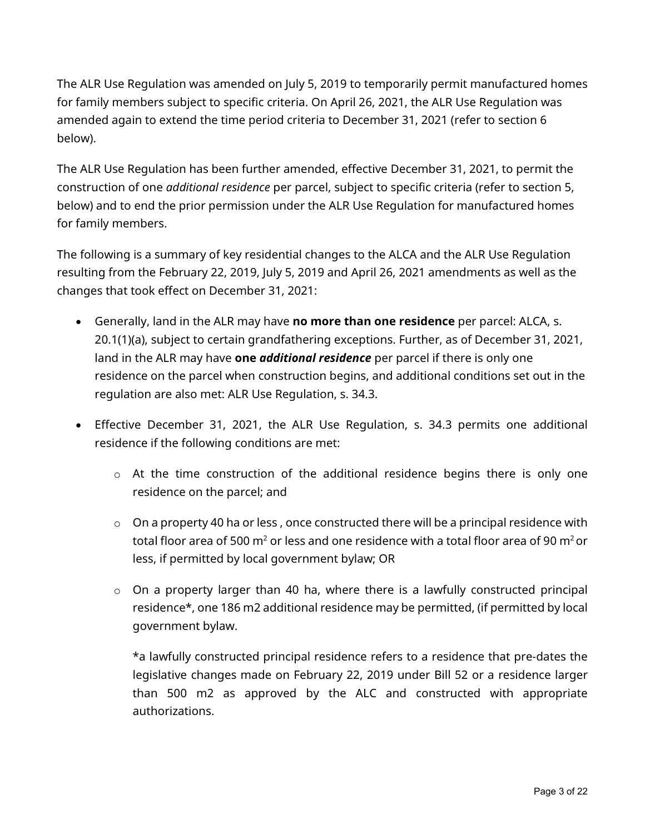The ALR Use Regulation was amended on July 5, 2019 to temporarily permit manufactured homes for family members subject to specific criteria. On April 26, 2021, the ALR Use Regulation was amended again to extend the time period criteria to December 31, 2021 (refer to section 6 below).

The ALR Use Regulation has been further amended, effective December 31, 2021, to permit the construction of one *additional residence* per parcel, subject to specific criteria (refer to section 5, below) and to end the prior permission under the ALR Use Regulation for manufactured homes for family members.

The following is a summary of key residential changes to the ALCA and the ALR Use Regulation resulting from the February 22, 2019, July 5, 2019 and April 26, 2021 amendments as well as the changes that took effect on December 31, 2021:

- Generally, land in the ALR may have **no more than one residence** per parcel: ALCA, s. 20.1(1)(a), subject to certain grandfathering exceptions. Further, as of December 31, 2021, land in the ALR may have **one** *additional residence* per parcel if there is only one residence on the parcel when construction begins, and additional conditions set out in the regulation are also met: ALR Use Regulation, s. 34.3.
- Effective December 31, 2021, the ALR Use Regulation, s. 34.3 permits one additional residence if the following conditions are met:
	- $\circ$  At the time construction of the additional residence begins there is only one residence on the parcel; and
	- $\circ$  On a property 40 ha or less, once constructed there will be a principal residence with total floor area of 500  $m<sup>2</sup>$  or less and one residence with a total floor area of 90  $m<sup>2</sup>$  or less, if permitted by local government bylaw; OR
	- o On a property larger than 40 ha, where there is a lawfully constructed principal residence\*, one 186 m2 additional residence may be permitted, (if permitted by local government bylaw.

\*a lawfully constructed principal residence refers to a residence that pre-dates the legislative changes made on February 22, 2019 under Bill 52 or a residence larger than 500 m2 as approved by the ALC and constructed with appropriate authorizations.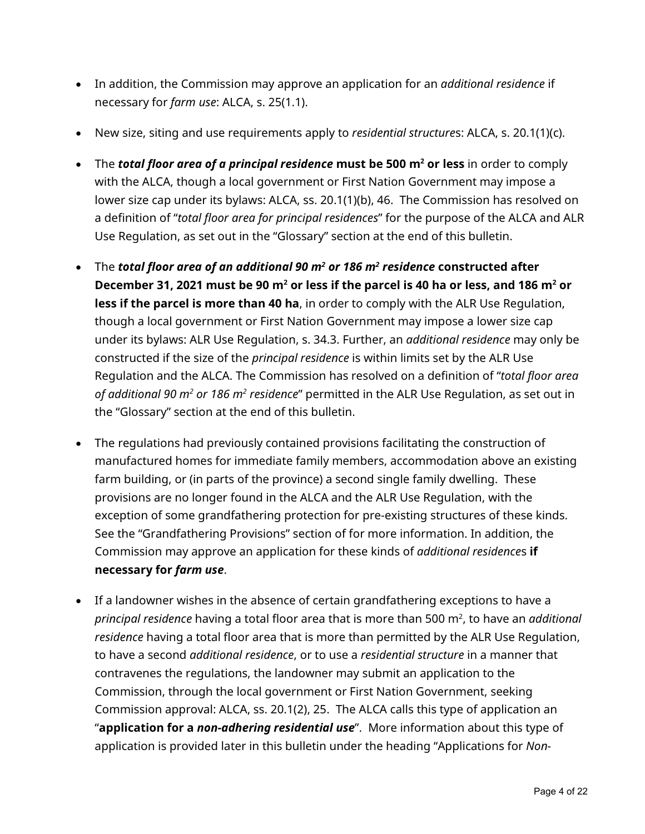- In addition, the Commission may approve an application for an *additional residence* if necessary for *farm use*: ALCA, s. 25(1.1).
- New size, siting and use requirements apply to *residential structure*s: ALCA, s. 20.1(1)(c).
- The *total floor area of a principal residence* **must be 500 m2 or less** in order to comply with the ALCA, though a local government or First Nation Government may impose a lower size cap under its bylaws: ALCA, ss. 20.1(1)(b), 46. The Commission has resolved on a definition of "*total floor area for principal residences*" for the purpose of the ALCA and ALR Use Regulation, as set out in the "Glossary" section at the end of this bulletin.
- The *total floor area of an additional 90 m2 or 186 m2 residence* **constructed after December 31, 2021 must be 90 m2 or less if the parcel is 40 ha or less, and 186 m2 or less if the parcel is more than 40 ha**, in order to comply with the ALR Use Regulation, though a local government or First Nation Government may impose a lower size cap under its bylaws: ALR Use Regulation, s. 34.3. Further, an *additional residence* may only be constructed if the size of the *principal residence* is within limits set by the ALR Use Regulation and the ALCA. The Commission has resolved on a definition of "*total floor area of additional 90 m2 or 186 m2 residence*" permitted in the ALR Use Regulation, as set out in the "Glossary" section at the end of this bulletin.
- The regulations had previously contained provisions facilitating the construction of manufactured homes for immediate family members, accommodation above an existing farm building, or (in parts of the province) a second single family dwelling. These provisions are no longer found in the ALCA and the ALR Use Regulation, with the exception of some grandfathering protection for pre-existing structures of these kinds. See the "Grandfathering Provisions" section of for more information. In addition, the Commission may approve an application for these kinds of *additional residence*s **if necessary for** *farm use*.
- If a landowner wishes in the absence of certain grandfathering exceptions to have a *principal residence* having a total floor area that is more than 500 m², to have an *additional residence* having a total floor area that is more than permitted by the ALR Use Regulation, to have a second *additional residence*, or to use a *residential structure* in a manner that contravenes the regulations, the landowner may submit an application to the Commission, through the local government or First Nation Government, seeking Commission approval: ALCA, ss. 20.1(2), 25. The ALCA calls this type of application an "**application for a** *non-adhering residential use*". More information about this type of application is provided later in this bulletin under the heading "Applications for *Non-*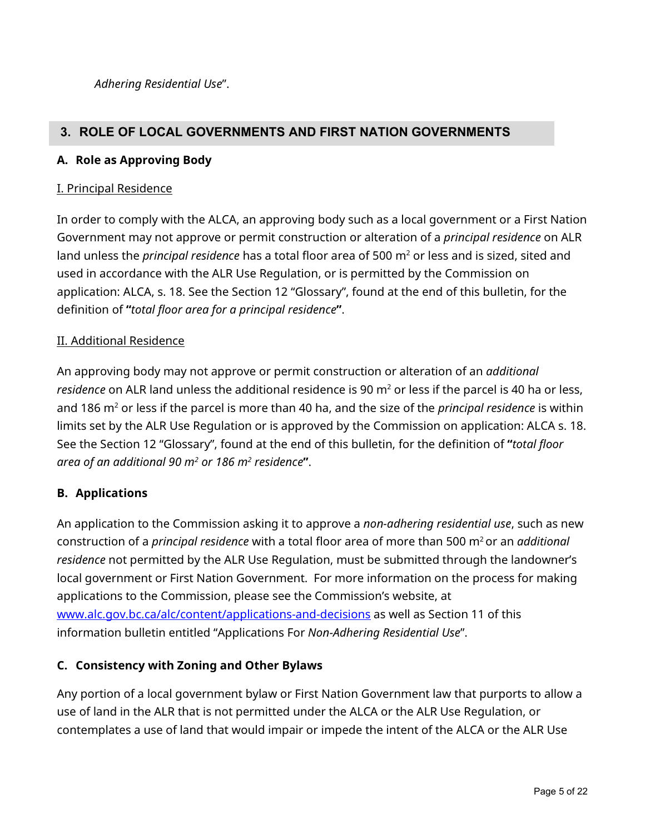*Adhering Residential Use*".

## <span id="page-4-0"></span>**3. ROLE OF LOCAL GOVERNMENTS AND FIRST NATION GOVERNMENTS**

#### <span id="page-4-1"></span>**A. Role as Approving Body**

#### I. Principal Residence

In order to comply with the ALCA, an approving body such as a local government or a First Nation Government may not approve or permit construction or alteration of a *principal residence* on ALR land unless the *principal residence* has a total floor area of 500 m<sup>2</sup> or less and is sized, sited and used in accordance with the ALR Use Regulation, or is permitted by the Commission on application: ALCA, s. 18. See the Section 12 "Glossary", found at the end of this bulletin, for the definition of **"***total floor area for a principal residence***"**.

#### II. Additional Residence

An approving body may not approve or permit construction or alteration of an *additional residence* on ALR land unless the additional residence is 90 m<sup>2</sup> or less if the parcel is 40 ha or less, and 186 m<sup>2</sup> or less if the parcel is more than 40 ha, and the size of the *principal residence* is within limits set by the ALR Use Regulation or is approved by the Commission on application: ALCA s. 18. See the Section 12 "Glossary", found at the end of this bulletin, for the definition of **"***total floor area of an additional 90 m2 or 186 m2 residence***"**.

#### <span id="page-4-2"></span>**B. Applications**

An application to the Commission asking it to approve a *non-adhering residential use*, such as new construction of a *principal residence* with a total floor area of more than 500 m2 or an *additional residence* not permitted by the ALR Use Regulation, must be submitted through the landowner's local government or First Nation Government. For more information on the process for making applications to the Commission, please see the Commission's website, at [www.alc.gov.bc.ca/alc/content/applications-and-decisions](https://www.alc.gov.bc.ca/alc/content/applications-and-decisions) as well as Section 11 of this information bulletin entitled "Applications For *Non-Adhering Residential Use*".

#### <span id="page-4-3"></span>**C. Consistency with Zoning and Other Bylaws**

Any portion of a local government bylaw or First Nation Government law that purports to allow a use of land in the ALR that is not permitted under the ALCA or the ALR Use Regulation, or contemplates a use of land that would impair or impede the intent of the ALCA or the ALR Use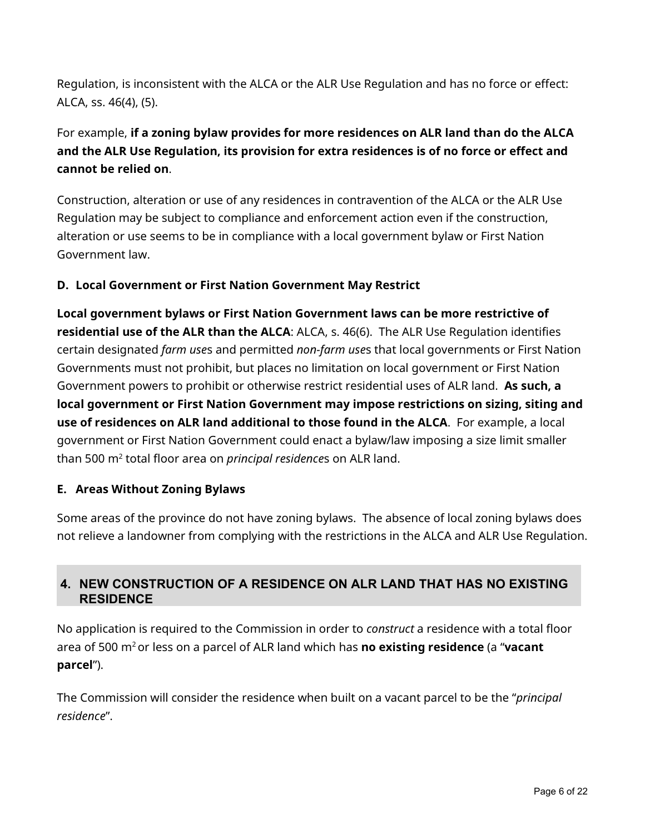Regulation, is inconsistent with the ALCA or the ALR Use Regulation and has no force or effect: ALCA, ss. 46(4), (5).

# For example, **if a zoning bylaw provides for more residences on ALR land than do the ALCA and the ALR Use Regulation, its provision for extra residences is of no force or effect and cannot be relied on**.

Construction, alteration or use of any residences in contravention of the ALCA or the ALR Use Regulation may be subject to compliance and enforcement action even if the construction, alteration or use seems to be in compliance with a local government bylaw or First Nation Government law.

## <span id="page-5-0"></span>**D. Local Government or First Nation Government May Restrict**

**Local government bylaws or First Nation Government laws can be more restrictive of residential use of the ALR than the ALCA**: ALCA, s. 46(6). The ALR Use Regulation identifies certain designated *farm use*s and permitted *non-farm use*s that local governments or First Nation Governments must not prohibit, but places no limitation on local government or First Nation Government powers to prohibit or otherwise restrict residential uses of ALR land. **As such, a local government or First Nation Government may impose restrictions on sizing, siting and use of residences on ALR land additional to those found in the ALCA**. For example, a local government or First Nation Government could enact a bylaw/law imposing a size limit smaller than 500 m2 total floor area on *principal residence*s on ALR land.

#### <span id="page-5-1"></span>**E. Areas Without Zoning Bylaws**

Some areas of the province do not have zoning bylaws. The absence of local zoning bylaws does not relieve a landowner from complying with the restrictions in the ALCA and ALR Use Regulation.

## <span id="page-5-2"></span>**4. NEW CONSTRUCTION OF A RESIDENCE ON ALR LAND THAT HAS NO EXISTING RESIDENCE**

No application is required to the Commission in order to *construct* a residence with a total floor area of 500 m2 or less on a parcel of ALR land which has **no existing residence** (a "**vacant parcel**").

The Commission will consider the residence when built on a vacant parcel to be the "*principal residence*".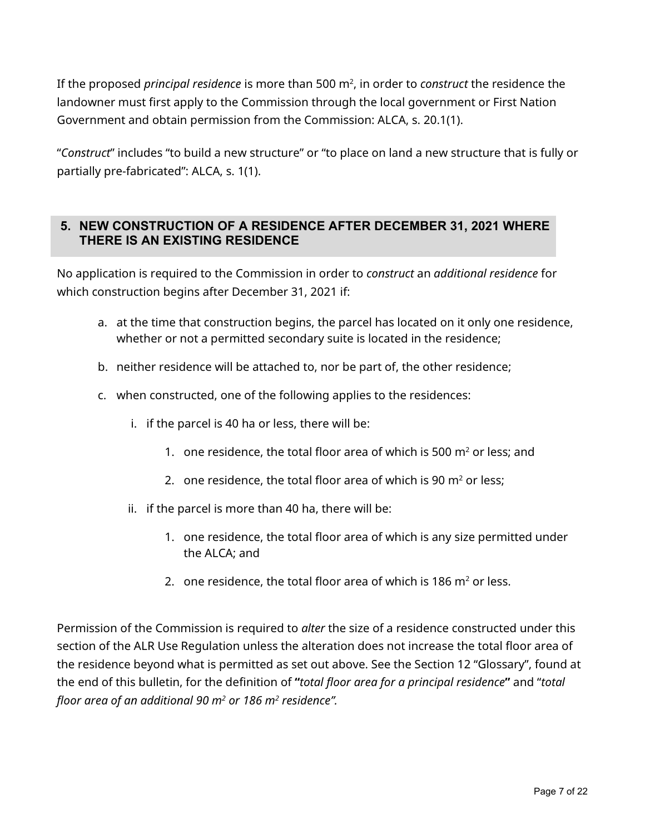If the proposed *principal residence* is more than 500 m2 , in order to *construct* the residence the landowner must first apply to the Commission through the local government or First Nation Government and obtain permission from the Commission: ALCA, s. 20.1(1).

"*Construct*" includes "to build a new structure" or "to place on land a new structure that is fully or partially pre-fabricated": ALCA, s. 1(1).

## <span id="page-6-0"></span>**5. NEW CONSTRUCTION OF A RESIDENCE AFTER DECEMBER 31, 2021 WHERE THERE IS AN EXISTING RESIDENCE**

No application is required to the Commission in order to *construct* an *additional residence* for which construction begins after December 31, 2021 if:

- a. at the time that construction begins, the parcel has located on it only one residence, whether or not a permitted secondary suite is located in the residence;
- b. neither residence will be attached to, nor be part of, the other residence;
- c. when constructed, one of the following applies to the residences:
	- i. if the parcel is 40 ha or less, there will be:
		- 1. one residence, the total floor area of which is 500  $m<sup>2</sup>$  or less; and
		- 2. one residence, the total floor area of which is 90  $m<sup>2</sup>$  or less:
	- ii. if the parcel is more than 40 ha, there will be:
		- 1. one residence, the total floor area of which is any size permitted under the ALCA; and
		- 2. one residence, the total floor area of which is 186  $m<sup>2</sup>$  or less.

Permission of the Commission is required to *alter* the size of a residence constructed under this section of the ALR Use Regulation unless the alteration does not increase the total floor area of the residence beyond what is permitted as set out above. See the Section 12 "Glossary", found at the end of this bulletin, for the definition of **"***total floor area for a principal residence***"** and "*total floor area of an additional 90 m2 or 186 m2 residence".*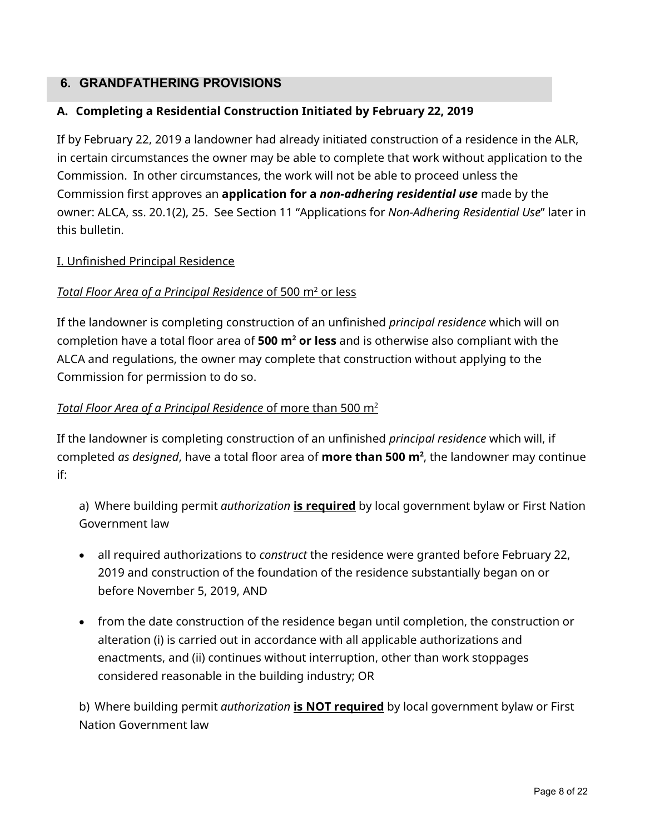## <span id="page-7-0"></span>**6. GRANDFATHERING PROVISIONS**

#### <span id="page-7-1"></span>**A. Completing a Residential Construction Initiated by February 22, 2019**

If by February 22, 2019 a landowner had already initiated construction of a residence in the ALR, in certain circumstances the owner may be able to complete that work without application to the Commission. In other circumstances, the work will not be able to proceed unless the Commission first approves an **application for a** *non-adhering residential use* made by the owner: ALCA, ss. 20.1(2), 25. See Section 11 "Applications for *Non-Adhering Residential Use*" later in this bulletin.

#### I. Unfinished Principal Residence

#### *Total Floor Area of a Principal Residence* of 500 m<sup>2</sup> or less

If the landowner is completing construction of an unfinished *principal residence* which will on completion have a total floor area of **500 m2 or less** and is otherwise also compliant with the ALCA and regulations, the owner may complete that construction without applying to the Commission for permission to do so.

#### *Total Floor Area of a Principal Residence* of more than 500 m2

If the landowner is completing construction of an unfinished *principal residence* which will, if completed *as designed*, have a total floor area of **more than 500 m**², the landowner may continue if:

a) Where building permit *authorization* **is required** by local government bylaw or First Nation Government law

- all required authorizations to *construct* the residence were granted before February 22, 2019 and construction of the foundation of the residence substantially began on or before November 5, 2019, AND
- from the date construction of the residence began until completion, the construction or alteration (i) is carried out in accordance with all applicable authorizations and enactments, and (ii) continues without interruption, other than work stoppages considered reasonable in the building industry; OR

b) Where building permit *authorization* **is NOT required** by local government bylaw or First Nation Government law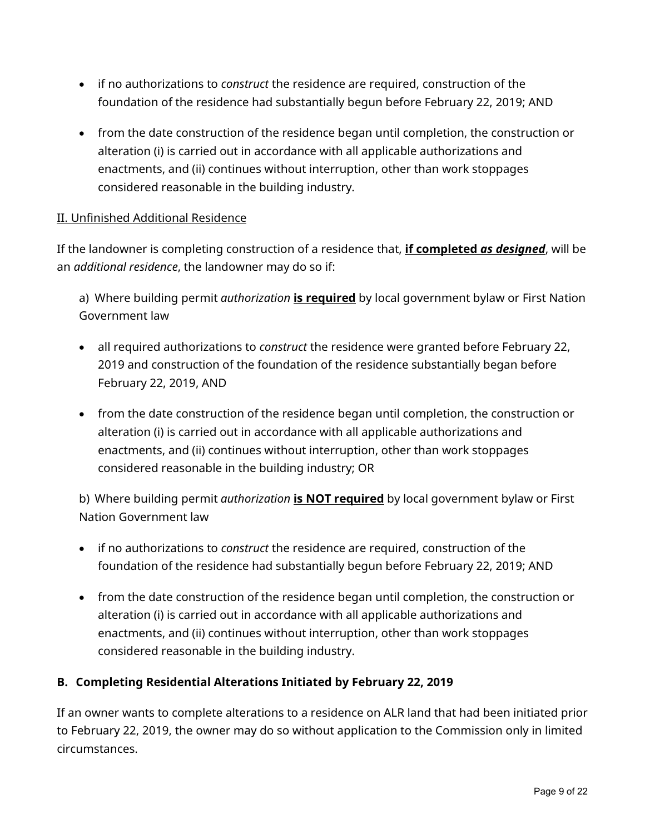- if no authorizations to *construct* the residence are required, construction of the foundation of the residence had substantially begun before February 22, 2019; AND
- from the date construction of the residence began until completion, the construction or alteration (i) is carried out in accordance with all applicable authorizations and enactments, and (ii) continues without interruption, other than work stoppages considered reasonable in the building industry.

## II. Unfinished Additional Residence

If the landowner is completing construction of a residence that, **if completed** *as designed*, will be an *additional residence*, the landowner may do so if:

a) Where building permit *authorization* **is required** by local government bylaw or First Nation Government law

- all required authorizations to *construct* the residence were granted before February 22, 2019 and construction of the foundation of the residence substantially began before February 22, 2019, AND
- from the date construction of the residence began until completion, the construction or alteration (i) is carried out in accordance with all applicable authorizations and enactments, and (ii) continues without interruption, other than work stoppages considered reasonable in the building industry; OR

b) Where building permit *authorization* **is NOT required** by local government bylaw or First Nation Government law

- if no authorizations to *construct* the residence are required, construction of the foundation of the residence had substantially begun before February 22, 2019; AND
- from the date construction of the residence began until completion, the construction or alteration (i) is carried out in accordance with all applicable authorizations and enactments, and (ii) continues without interruption, other than work stoppages considered reasonable in the building industry.

#### <span id="page-8-0"></span>**B. Completing Residential Alterations Initiated by February 22, 2019**

If an owner wants to complete alterations to a residence on ALR land that had been initiated prior to February 22, 2019, the owner may do so without application to the Commission only in limited circumstances.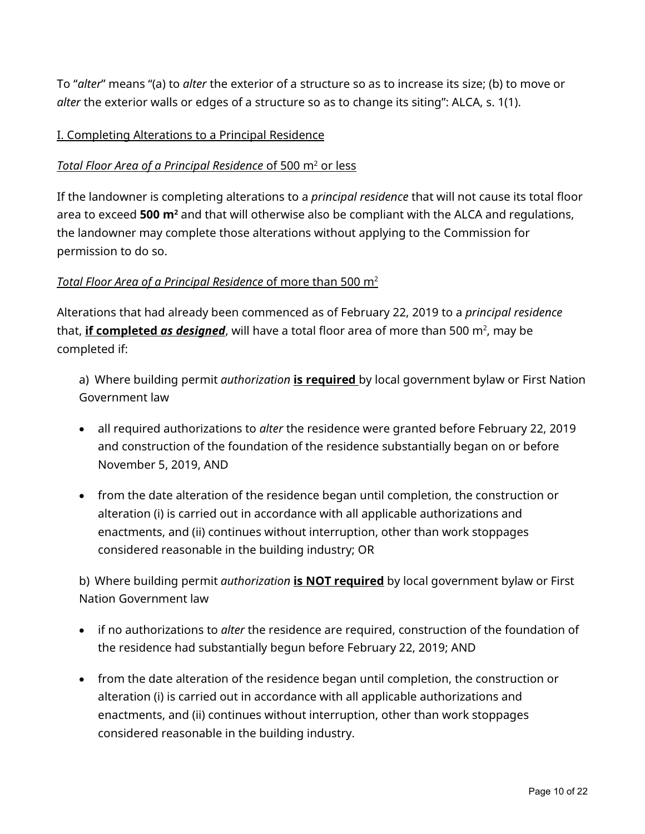To "*alter*" means "(a) to *alter* the exterior of a structure so as to increase its size; (b) to move or *alter* the exterior walls or edges of a structure so as to change its siting": ALCA, s. 1(1).

## I. Completing Alterations to a Principal Residence

#### *Total Floor Area of a Principal Residence* of 500 m<sup>2</sup> or less

If the landowner is completing alterations to a *principal residence* that will not cause its total floor area to exceed **500 m2** and that will otherwise also be compliant with the ALCA and regulations, the landowner may complete those alterations without applying to the Commission for permission to do so.

#### *Total Floor Area of a Principal Residence* of more than 500 m2

Alterations that had already been commenced as of February 22, 2019 to a *principal residence* that, <mark>if completed *as designed,* will have a total floor area of more than 500 m<sup>2</sup>, may be</mark> completed if:

a) Where building permit *authorization* **is required** by local government bylaw or First Nation Government law

- all required authorizations to *alter* the residence were granted before February 22, 2019 and construction of the foundation of the residence substantially began on or before November 5, 2019, AND
- from the date alteration of the residence began until completion, the construction or alteration (i) is carried out in accordance with all applicable authorizations and enactments, and (ii) continues without interruption, other than work stoppages considered reasonable in the building industry; OR

b) Where building permit *authorization* **is NOT required** by local government bylaw or First Nation Government law

- if no authorizations to *alter* the residence are required, construction of the foundation of the residence had substantially begun before February 22, 2019; AND
- from the date alteration of the residence began until completion, the construction or alteration (i) is carried out in accordance with all applicable authorizations and enactments, and (ii) continues without interruption, other than work stoppages considered reasonable in the building industry.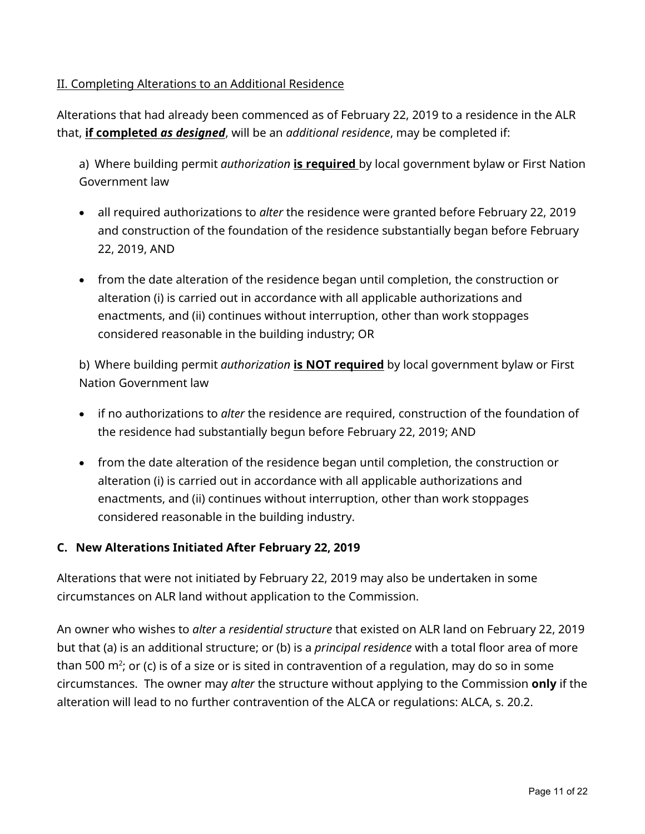## II. Completing Alterations to an Additional Residence

Alterations that had already been commenced as of February 22, 2019 to a residence in the ALR that, **if completed** *as designed*, will be an *additional residence*, may be completed if:

a) Where building permit *authorization* **is required** by local government bylaw or First Nation Government law

- all required authorizations to *alter* the residence were granted before February 22, 2019 and construction of the foundation of the residence substantially began before February 22, 2019, AND
- from the date alteration of the residence began until completion, the construction or alteration (i) is carried out in accordance with all applicable authorizations and enactments, and (ii) continues without interruption, other than work stoppages considered reasonable in the building industry; OR

b) Where building permit *authorization* **is NOT required** by local government bylaw or First Nation Government law

- if no authorizations to *alter* the residence are required, construction of the foundation of the residence had substantially begun before February 22, 2019; AND
- from the date alteration of the residence began until completion, the construction or alteration (i) is carried out in accordance with all applicable authorizations and enactments, and (ii) continues without interruption, other than work stoppages considered reasonable in the building industry.

#### <span id="page-10-0"></span>**C. New Alterations Initiated After February 22, 2019**

Alterations that were not initiated by February 22, 2019 may also be undertaken in some circumstances on ALR land without application to the Commission.

An owner who wishes to *alter* a *residential structure* that existed on ALR land on February 22, 2019 but that (a) is an additional structure; or (b) is a *principal residence* with a total floor area of more than 500 m²; or (c) is of a size or is sited in contravention of a regulation, may do so in some circumstances. The owner may *alter* the structure without applying to the Commission **only** if the alteration will lead to no further contravention of the ALCA or regulations: ALCA, s. 20.2.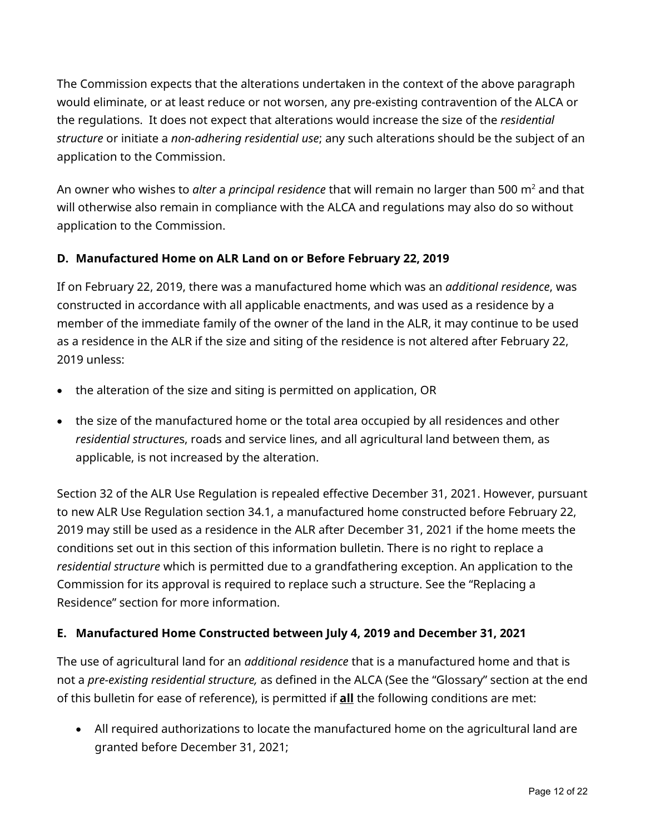The Commission expects that the alterations undertaken in the context of the above paragraph would eliminate, or at least reduce or not worsen, any pre-existing contravention of the ALCA or the regulations. It does not expect that alterations would increase the size of the *residential structure* or initiate a *non-adhering residential use*; any such alterations should be the subject of an application to the Commission.

An owner who wishes to *alter* a *principal residence* that will remain no larger than 500 m2 and that will otherwise also remain in compliance with the ALCA and regulations may also do so without application to the Commission.

## <span id="page-11-0"></span>**D. Manufactured Home on ALR Land on or Before February 22, 2019**

If on February 22, 2019, there was a manufactured home which was an *additional residence*, was constructed in accordance with all applicable enactments, and was used as a residence by a member of the immediate family of the owner of the land in the ALR, it may continue to be used as a residence in the ALR if the size and siting of the residence is not altered after February 22, 2019 unless:

- the alteration of the size and siting is permitted on application, OR
- the size of the manufactured home or the total area occupied by all residences and other *residential structure*s, roads and service lines, and all agricultural land between them, as applicable, is not increased by the alteration.

Section 32 of the ALR Use Regulation is repealed effective December 31, 2021. However, pursuant to new ALR Use Regulation section 34.1, a manufactured home constructed before February 22, 2019 may still be used as a residence in the ALR after December 31, 2021 if the home meets the conditions set out in this section of this information bulletin. There is no right to replace a *residential structure* which is permitted due to a grandfathering exception. An application to the Commission for its approval is required to replace such a structure. See the "Replacing a Residence" section for more information.

#### <span id="page-11-1"></span>**E. Manufactured Home Constructed between July 4, 2019 and December 31, 2021**

The use of agricultural land for an *additional residence* that is a manufactured home and that is not a *pre-existing residential structure,* as defined in the ALCA (See the "Glossary" section at the end of this bulletin for ease of reference), is permitted if **all** the following conditions are met:

• All required authorizations to locate the manufactured home on the agricultural land are granted before December 31, 2021;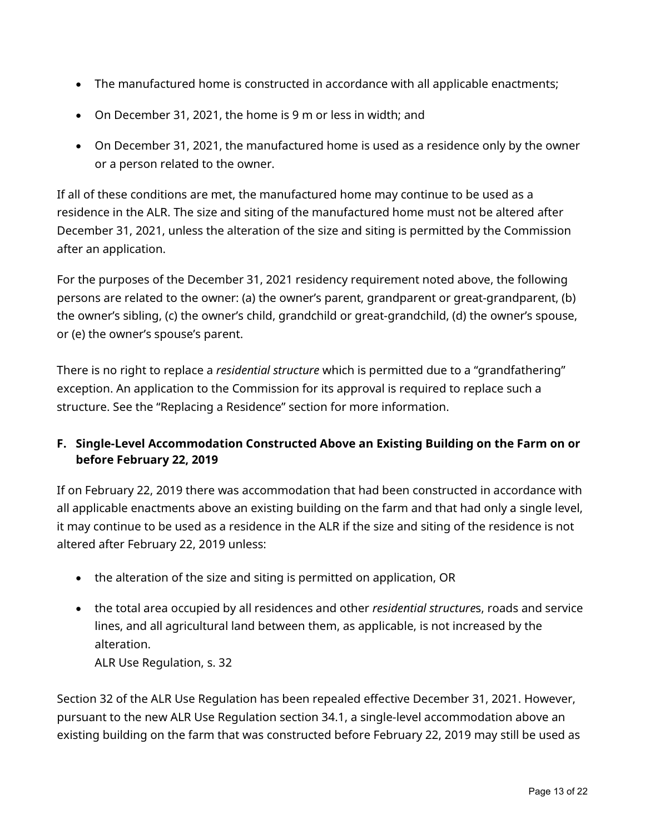- The manufactured home is constructed in accordance with all applicable enactments;
- On December 31, 2021, the home is 9 m or less in width; and
- On December 31, 2021, the manufactured home is used as a residence only by the owner or a person related to the owner.

If all of these conditions are met, the manufactured home may continue to be used as a residence in the ALR. The size and siting of the manufactured home must not be altered after December 31, 2021, unless the alteration of the size and siting is permitted by the Commission after an application.

For the purposes of the December 31, 2021 residency requirement noted above, the following persons are related to the owner: (a) the owner's parent, grandparent or great-grandparent, (b) the owner's sibling, (c) the owner's child, grandchild or great-grandchild, (d) the owner's spouse, or (e) the owner's spouse's parent.

There is no right to replace a *residential structure* which is permitted due to a "grandfathering" exception. An application to the Commission for its approval is required to replace such a structure. See the "Replacing a Residence" section for more information.

## <span id="page-12-0"></span>**F. Single-Level Accommodation Constructed Above an Existing Building on the Farm on or before February 22, 2019**

If on February 22, 2019 there was accommodation that had been constructed in accordance with all applicable enactments above an existing building on the farm and that had only a single level, it may continue to be used as a residence in the ALR if the size and siting of the residence is not altered after February 22, 2019 unless:

- the alteration of the size and siting is permitted on application, OR
- the total area occupied by all residences and other *residential structure*s, roads and service lines, and all agricultural land between them, as applicable, is not increased by the alteration.

ALR Use Regulation, s. 32

Section 32 of the ALR Use Regulation has been repealed effective December 31, 2021. However, pursuant to the new ALR Use Regulation section 34.1, a single-level accommodation above an existing building on the farm that was constructed before February 22, 2019 may still be used as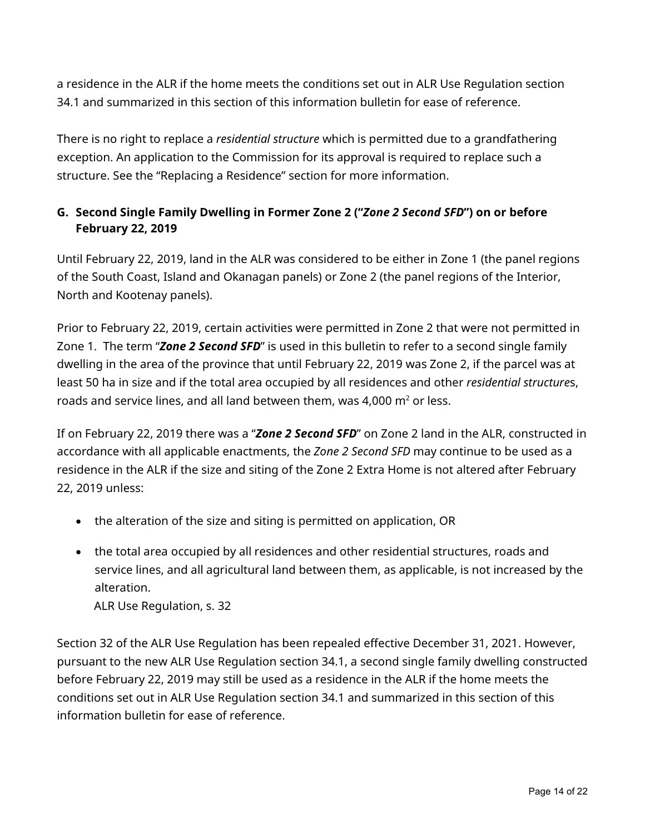a residence in the ALR if the home meets the conditions set out in ALR Use Regulation section 34.1 and summarized in this section of this information bulletin for ease of reference.

There is no right to replace a *residential structure* which is permitted due to a grandfathering exception. An application to the Commission for its approval is required to replace such a structure. See the "Replacing a Residence" section for more information.

## <span id="page-13-0"></span>**G. Second Single Family Dwelling in Former Zone 2 ("***Zone 2 Second SFD***") on or before February 22, 2019**

Until February 22, 2019, land in the ALR was considered to be either in Zone 1 (the panel regions of the South Coast, Island and Okanagan panels) or Zone 2 (the panel regions of the Interior, North and Kootenay panels).

Prior to February 22, 2019, certain activities were permitted in Zone 2 that were not permitted in Zone 1. The term "*Zone 2 Second SFD*" is used in this bulletin to refer to a second single family dwelling in the area of the province that until February 22, 2019 was Zone 2, if the parcel was at least 50 ha in size and if the total area occupied by all residences and other *residential structure*s, roads and service lines, and all land between them, was 4,000  $m<sup>2</sup>$  or less.

If on February 22, 2019 there was a "*Zone 2 Second SFD*" on Zone 2 land in the ALR, constructed in accordance with all applicable enactments, the *Zone 2 Second SFD* may continue to be used as a residence in the ALR if the size and siting of the Zone 2 Extra Home is not altered after February 22, 2019 unless:

- the alteration of the size and siting is permitted on application, OR
- the total area occupied by all residences and other residential structures, roads and service lines, and all agricultural land between them, as applicable, is not increased by the alteration.

ALR Use Regulation, s. 32

Section 32 of the ALR Use Regulation has been repealed effective December 31, 2021. However, pursuant to the new ALR Use Regulation section 34.1, a second single family dwelling constructed before February 22, 2019 may still be used as a residence in the ALR if the home meets the conditions set out in ALR Use Regulation section 34.1 and summarized in this section of this information bulletin for ease of reference.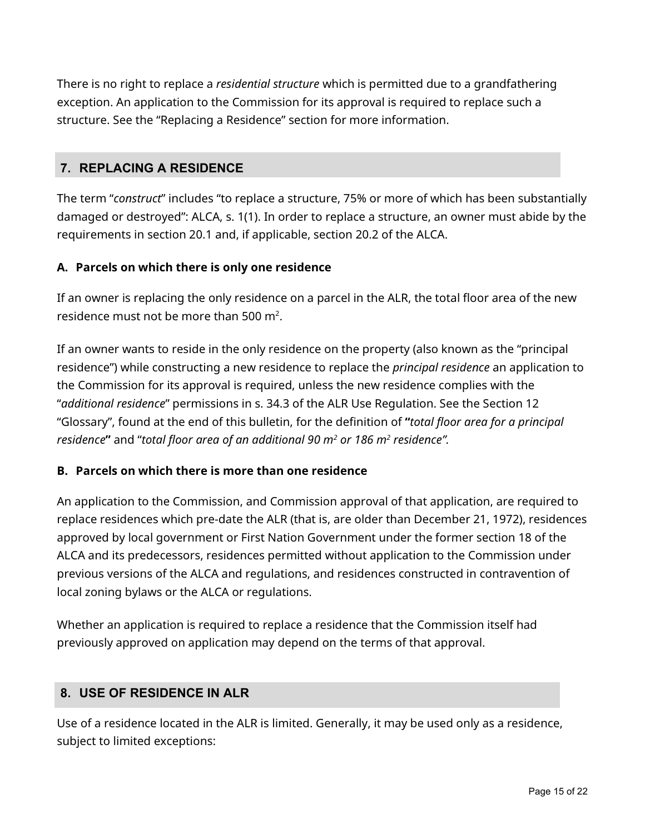There is no right to replace a *residential structure* which is permitted due to a grandfathering exception. An application to the Commission for its approval is required to replace such a structure. See the "Replacing a Residence" section for more information.

## <span id="page-14-0"></span>**7. REPLACING A RESIDENCE**

The term "*construct*" includes "to replace a structure, 75% or more of which has been substantially damaged or destroyed": ALCA, s. 1(1). In order to replace a structure, an owner must abide by the requirements in section 20.1 and, if applicable, section 20.2 of the ALCA.

## <span id="page-14-1"></span>**A. Parcels on which there is only one residence**

If an owner is replacing the only residence on a parcel in the ALR, the total floor area of the new residence must not be more than 500  $m^2$ .

If an owner wants to reside in the only residence on the property (also known as the "principal residence") while constructing a new residence to replace the *principal residence* an application to the Commission for its approval is required, unless the new residence complies with the "*additional residence*" permissions in s. 34.3 of the ALR Use Regulation. See the Section 12 "Glossary", found at the end of this bulletin, for the definition of **"***total floor area for a principal residence***"** and "*total floor area of an additional 90 m2 or 186 m2 residence".*

## <span id="page-14-2"></span>**B. Parcels on which there is more than one residence**

An application to the Commission, and Commission approval of that application, are required to replace residences which pre-date the ALR (that is, are older than December 21, 1972), residences approved by local government or First Nation Government under the former section 18 of the ALCA and its predecessors, residences permitted without application to the Commission under previous versions of the ALCA and regulations, and residences constructed in contravention of local zoning bylaws or the ALCA or regulations.

Whether an application is required to replace a residence that the Commission itself had previously approved on application may depend on the terms of that approval.

## <span id="page-14-3"></span>**8. USE OF RESIDENCE IN ALR**

Use of a residence located in the ALR is limited. Generally, it may be used only as a residence, subject to limited exceptions: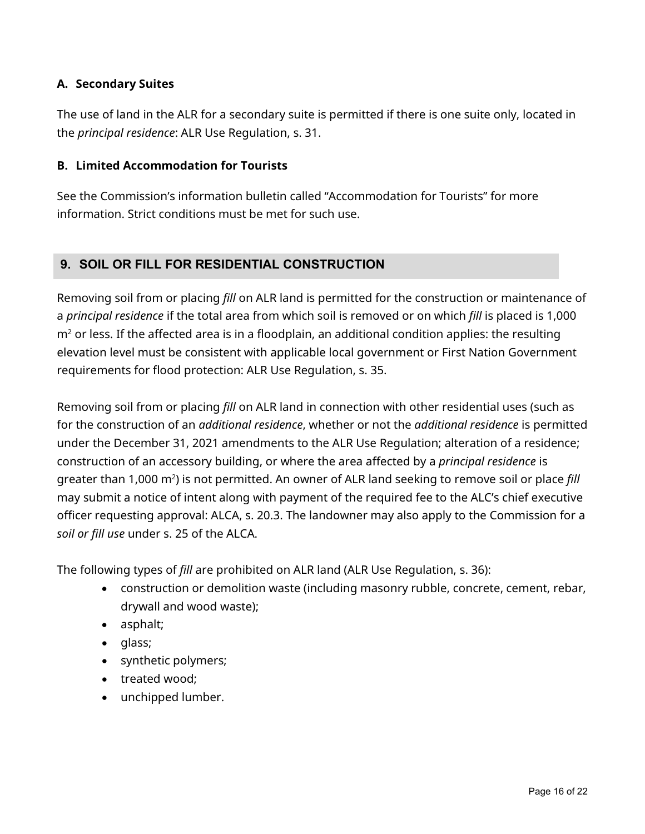## <span id="page-15-0"></span>**A. Secondary Suites**

The use of land in the ALR for a secondary suite is permitted if there is one suite only, located in the *principal residence*: ALR Use Regulation, s. 31.

## <span id="page-15-1"></span>**B. Limited Accommodation for Tourists**

See the Commission's information bulletin called "Accommodation for Tourists" for more information. Strict conditions must be met for such use.

## <span id="page-15-2"></span>**9. SOIL OR FILL FOR RESIDENTIAL CONSTRUCTION**

Removing soil from or placing *fill* on ALR land is permitted for the construction or maintenance of a *principal residence* if the total area from which soil is removed or on which *fill* is placed is 1,000  $m<sup>2</sup>$  or less. If the affected area is in a floodplain, an additional condition applies: the resulting elevation level must be consistent with applicable local government or First Nation Government requirements for flood protection: ALR Use Regulation, s. 35.

Removing soil from or placing *fill* on ALR land in connection with other residential uses (such as for the construction of an *additional residence*, whether or not the *additional residence* is permitted under the December 31, 2021 amendments to the ALR Use Regulation; alteration of a residence; construction of an accessory building, or where the area affected by a *principal residence* is greater than 1,000 m<sup>2</sup>) is not permitted. An owner of ALR land seeking to remove soil or place *fill* may submit a notice of intent along with payment of the required fee to the ALC's chief executive officer requesting approval: ALCA, s. 20.3. The landowner may also apply to the Commission for a *soil or fill use* under s. 25 of the ALCA.

The following types of *fill* are prohibited on ALR land (ALR Use Regulation, s. 36):

- construction or demolition waste (including masonry rubble, concrete, cement, rebar, drywall and wood waste);
- asphalt;
- glass;
- synthetic polymers;
- treated wood;
- unchipped lumber.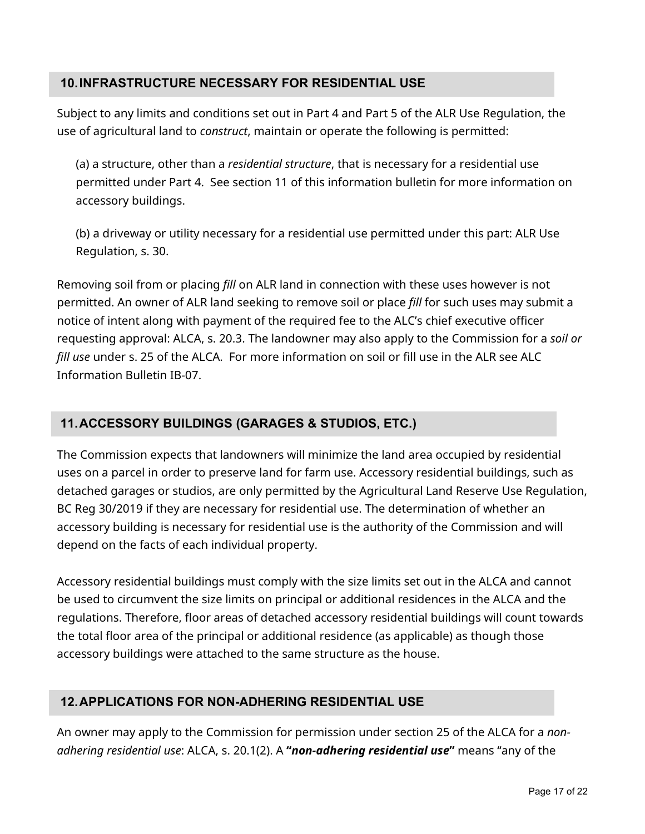## <span id="page-16-0"></span>**10.INFRASTRUCTURE NECESSARY FOR RESIDENTIAL USE**

Subject to any limits and conditions set out in Part 4 and Part 5 of the ALR Use Regulation, the use of agricultural land to *construct*, maintain or operate the following is permitted:

(a) a structure, other than a *residential structure*, that is necessary for a residential use permitted under Part 4. See section 11 of this information bulletin for more information on accessory buildings.

(b) a driveway or utility necessary for a residential use permitted under this part: ALR Use Regulation, s. 30.

Removing soil from or placing *fill* on ALR land in connection with these uses however is not permitted. An owner of ALR land seeking to remove soil or place *fill* for such uses may submit a notice of intent along with payment of the required fee to the ALC's chief executive officer requesting approval: ALCA, s. 20.3. The landowner may also apply to the Commission for a *soil or fill use* under s. 25 of the ALCA. For more information on soil or fill use in the ALR see ALC Information Bulletin IB-07.

# <span id="page-16-1"></span>**11.ACCESSORY BUILDINGS (GARAGES & STUDIOS, ETC.)**

The Commission expects that landowners will minimize the land area occupied by residential uses on a parcel in order to preserve land for farm use. Accessory residential buildings, such as detached garages or studios, are only permitted by the Agricultural Land Reserve Use Regulation, BC Reg 30/2019 if they are necessary for residential use. The determination of whether an accessory building is necessary for residential use is the authority of the Commission and will depend on the facts of each individual property.

Accessory residential buildings must comply with the size limits set out in the ALCA and cannot be used to circumvent the size limits on principal or additional residences in the ALCA and the regulations. Therefore, floor areas of detached accessory residential buildings will count towards the total floor area of the principal or additional residence (as applicable) as though those accessory buildings were attached to the same structure as the house.

# <span id="page-16-2"></span>**12.APPLICATIONS FOR NON-ADHERING RESIDENTIAL USE**

An owner may apply to the Commission for permission under section 25 of the ALCA for a *nonadhering residential use*: ALCA, s. 20.1(2). A **"***non-adhering residential use***"** means "any of the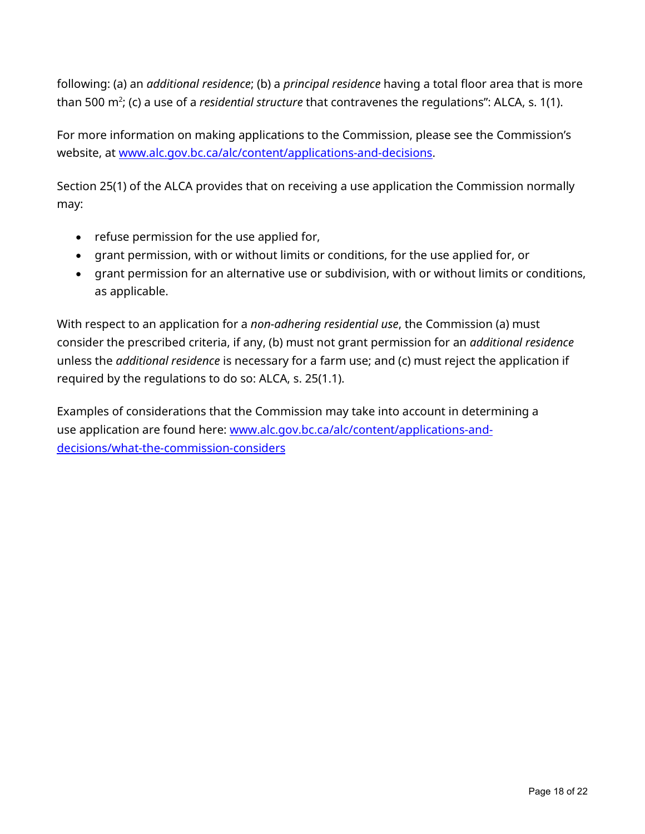following: (a) an *additional residence*; (b) a *principal residence* having a total floor area that is more than 500 m2 ; (c) a use of a *residential structure* that contravenes the regulations": ALCA, s. 1(1).

For more information on making applications to the Commission, please see the Commission's website, at [www.alc.gov.bc.ca/alc/content/applications-and-decisions.](http://www.alc.gov.bc.ca/alc/content/applications-and-decisions)

Section 25(1) of the ALCA provides that on receiving a use application the Commission normally may:

- refuse permission for the use applied for,
- grant permission, with or without limits or conditions, for the use applied for, or
- grant permission for an alternative use or subdivision, with or without limits or conditions, as applicable.

With respect to an application for a *non-adhering residential use*, the Commission (a) must consider the prescribed criteria, if any, (b) must not grant permission for an *additional residence* unless the *additional residence* is necessary for a farm use; and (c) must reject the application if required by the regulations to do so: ALCA, s. 25(1.1).

Examples of considerations that the Commission may take into account in determining a use application are found here: [www.alc.gov.bc.ca/alc/content/applications-and](https://www.alc.gov.bc.ca/alc/content/applications-and-decisions/what-the-commission-considers)[decisions/what-the-commission-considers](https://www.alc.gov.bc.ca/alc/content/applications-and-decisions/what-the-commission-considers)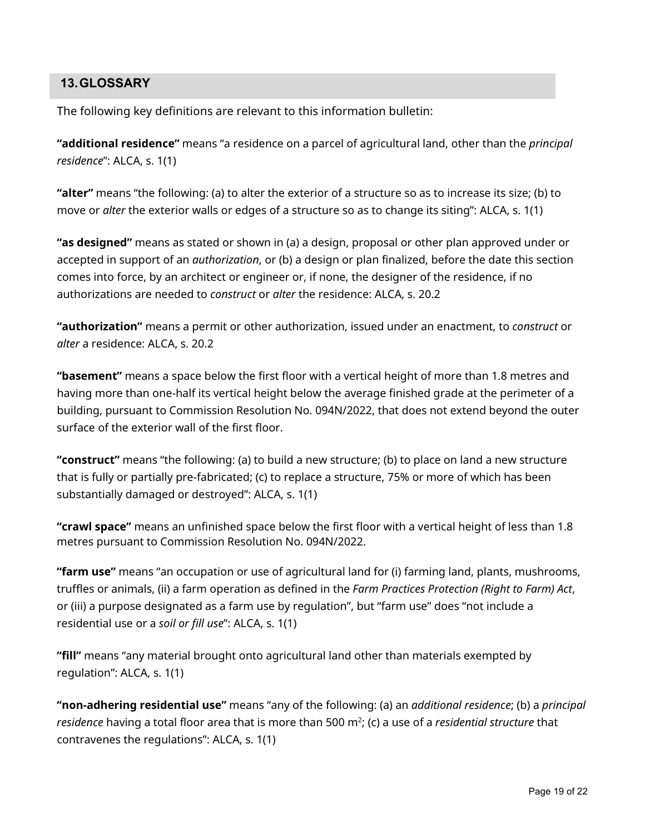## <span id="page-18-0"></span>**13.GLOSSARY**

The following key definitions are relevant to this information bulletin:

**"additional residence"** means "a residence on a parcel of agricultural land, other than the *principal residence*": ALCA, s. 1(1)

**"alter"** means "the following: (a) to alter the exterior of a structure so as to increase its size; (b) to move or *alter* the exterior walls or edges of a structure so as to change its siting": ALCA, s. 1(1)

**"as designed"** means as stated or shown in (a) a design, proposal or other plan approved under or accepted in support of an *authorization*, or (b) a design or plan finalized, before the date this section comes into force, by an architect or engineer or, if none, the designer of the residence, if no authorizations are needed to *construct* or *alter* the residence: ALCA, s. 20.2

**"authorization"** means a permit or other authorization, issued under an enactment, to *construct* or *alter* a residence: ALCA, s. 20.2

**"basement"** means a space below the first floor with a vertical height of more than 1.8 metres and having more than one-half its vertical height below the average finished grade at the perimeter of a building, pursuant to Commission Resolution No. 094N/2022, that does not extend beyond the outer surface of the exterior wall of the first floor.

**"construct"** means "the following: (a) to build a new structure; (b) to place on land a new structure that is fully or partially pre-fabricated; (c) to replace a structure, 75% or more of which has been substantially damaged or destroyed": ALCA, s. 1(1)

**"crawl space"** means an unfinished space below the first floor with a vertical height of less than 1.8 metres pursuant to Commission Resolution No. 094N/2022.

**"farm use"** means "an occupation or use of agricultural land for (i) farming land, plants, mushrooms, truffles or animals, (ii) a farm operation as defined in the *Farm Practices Protection (Right to Farm) Act*, or (iii) a purpose designated as a farm use by regulation", but "farm use" does "not include a residential use or a *soil or fill use*": ALCA, s. 1(1)

**"fill"** means "any material brought onto agricultural land other than materials exempted by regulation": ALCA, s. 1(1)

**"non-adhering residential use"** means "any of the following: (a) an *additional residence*; (b) a *principal residence* having a total floor area that is more than 500 m<sup>2</sup>; (c) a use of a *residential structure* that contravenes the regulations": ALCA, s. 1(1)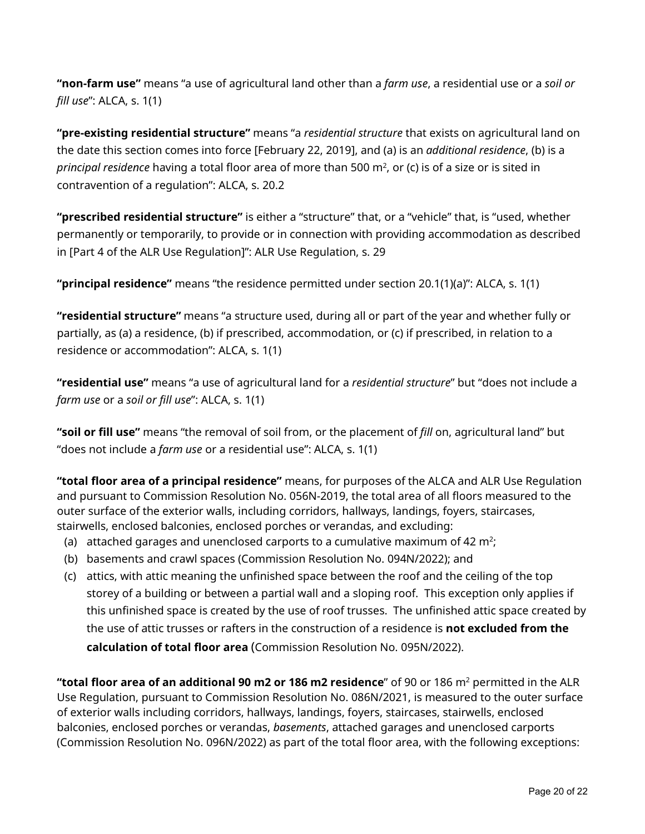**"non-farm use"** means "a use of agricultural land other than a *farm use*, a residential use or a *soil or fill use*": ALCA, s. 1(1)

**"pre-existing residential structure"** means "a *residential structure* that exists on agricultural land on the date this section comes into force [February 22, 2019], and (a) is an *additional residence*, (b) is a *principal residence* having a total floor area of more than 500 m<sup>2</sup>, or (c) is of a size or is sited in contravention of a regulation": ALCA, s. 20.2

**"prescribed residential structure"** is either a "structure" that, or a "vehicle" that, is "used, whether permanently or temporarily, to provide or in connection with providing accommodation as described in [Part 4 of the ALR Use Regulation]": ALR Use Regulation, s. 29

**"principal residence"** means "the residence permitted under section 20.1(1)(a)": ALCA, s. 1(1)

**"residential structure"** means "a structure used, during all or part of the year and whether fully or partially, as (a) a residence, (b) if prescribed, accommodation, or (c) if prescribed, in relation to a residence or accommodation": ALCA, s. 1(1)

**"residential use"** means "a use of agricultural land for a *residential structure*" but "does not include a *farm use* or a *soil or fill use*": ALCA, s. 1(1)

**"soil or fill use"** means "the removal of soil from, or the placement of *fill* on, agricultural land" but "does not include a *farm use* or a residential use": ALCA, s. 1(1)

**"total floor area of a principal residence"** means, for purposes of the ALCA and ALR Use Regulation and pursuant to Commission Resolution No. 056N-2019, the total area of all floors measured to the outer surface of the exterior walls, including corridors, hallways, landings, foyers, staircases, stairwells, enclosed balconies, enclosed porches or verandas, and excluding:

- (a) attached garages and unenclosed carports to a cumulative maximum of 42  $m<sup>2</sup>$ ;
- (b) basements and crawl spaces (Commission Resolution No. 094N/2022); and
- (c) attics, with attic meaning the unfinished space between the roof and the ceiling of the top storey of a building or between a partial wall and a sloping roof. This exception only applies if this unfinished space is created by the use of roof trusses. The unfinished attic space created by the use of attic trusses or rafters in the construction of a residence is **not excluded from the calculation of total floor area** (Commission Resolution No. 095N/2022).

**"total floor area of an additional 90 m2 or 186 m2 residence**" of 90 or 186 m2 permitted in the ALR Use Regulation, pursuant to Commission Resolution No. 086N/2021, is measured to the outer surface of exterior walls including corridors, hallways, landings, foyers, staircases, stairwells, enclosed balconies, enclosed porches or verandas, *basements*, attached garages and unenclosed carports (Commission Resolution No. 096N/2022) as part of the total floor area, with the following exceptions: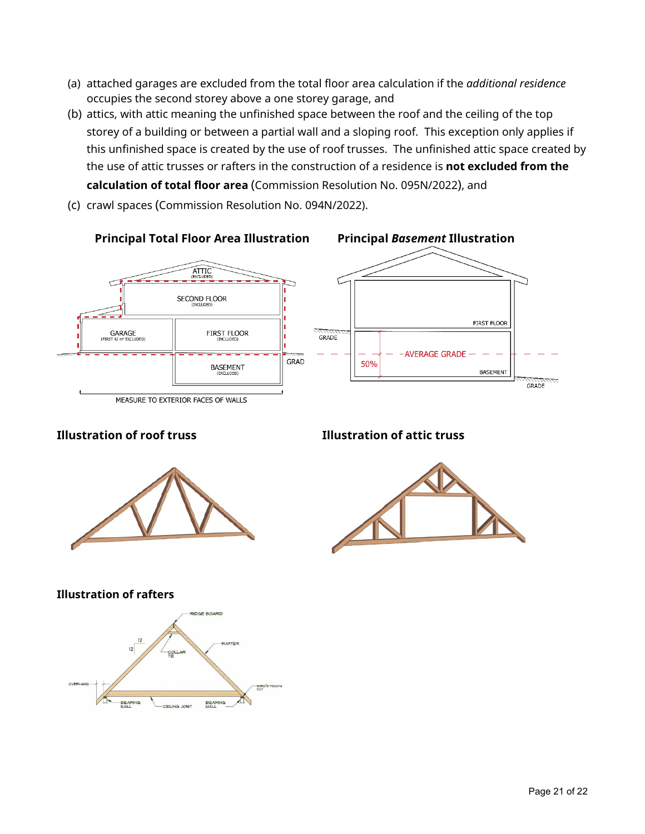- (a) attached garages are excluded from the total floor area calculation if the *additional residence* occupies the second storey above a one storey garage, and
- (b) attics, with attic meaning the unfinished space between the roof and the ceiling of the top storey of a building or between a partial wall and a sloping roof. This exception only applies if this unfinished space is created by the use of roof trusses. The unfinished attic space created by the use of attic trusses or rafters in the construction of a residence is **not excluded from the calculation of total floor area** (Commission Resolution No. 095N/2022), and
- (c) crawl spaces (Commission Resolution No. 094N/2022).



## **Illustration of roof truss Illustration of attic truss**





#### **Illustration of rafters**